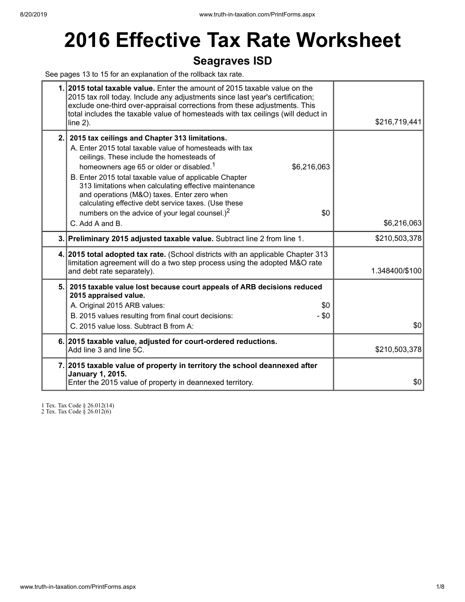# **2016 Effective Tax Rate Worksheet**

## **Seagraves ISD**

See pages 13 to 15 for an explanation of the rollback tax rate.

| 1. 2015 total taxable value. Enter the amount of 2015 taxable value on the<br>2015 tax roll today. Include any adjustments since last year's certification;<br>exclude one-third over-appraisal corrections from these adjustments. This<br>total includes the taxable value of homesteads with tax ceilings (will deduct in<br>line $2$ ).                                                                                                                                                                                        | \$216,719,441  |
|------------------------------------------------------------------------------------------------------------------------------------------------------------------------------------------------------------------------------------------------------------------------------------------------------------------------------------------------------------------------------------------------------------------------------------------------------------------------------------------------------------------------------------|----------------|
| 2. 2015 tax ceilings and Chapter 313 limitations.<br>A. Enter 2015 total taxable value of homesteads with tax<br>ceilings. These include the homesteads of<br>homeowners age 65 or older or disabled. <sup>1</sup><br>\$6,216,063<br>B. Enter 2015 total taxable value of applicable Chapter<br>313 limitations when calculating effective maintenance<br>and operations (M&O) taxes. Enter zero when<br>calculating effective debt service taxes. (Use these<br>numbers on the advice of your legal counsel.) <sup>2</sup><br>\$0 |                |
| C. Add A and B.                                                                                                                                                                                                                                                                                                                                                                                                                                                                                                                    | \$6,216,063    |
| 3. Preliminary 2015 adjusted taxable value. Subtract line 2 from line 1.                                                                                                                                                                                                                                                                                                                                                                                                                                                           | \$210,503,378  |
| 4. 2015 total adopted tax rate. (School districts with an applicable Chapter 313<br>limitation agreement will do a two step process using the adopted M&O rate<br>and debt rate separately).                                                                                                                                                                                                                                                                                                                                       | 1.348400/\$100 |
| 5. 2015 taxable value lost because court appeals of ARB decisions reduced<br>2015 appraised value.<br>A. Original 2015 ARB values:<br>\$0<br>$-$ \$0<br>B. 2015 values resulting from final court decisions:<br>C. 2015 value loss. Subtract B from A:                                                                                                                                                                                                                                                                             | \$0            |
| 6. 2015 taxable value, adjusted for court-ordered reductions.<br>Add line 3 and line 5C.                                                                                                                                                                                                                                                                                                                                                                                                                                           | \$210,503,378  |
| 7. 2015 taxable value of property in territory the school deannexed after<br><b>January 1, 2015.</b><br>Enter the 2015 value of property in deannexed territory.                                                                                                                                                                                                                                                                                                                                                                   | \$0            |

1 Tex. Tax Code § 26.012(14)

2 Tex. Tax Code § 26.012(6)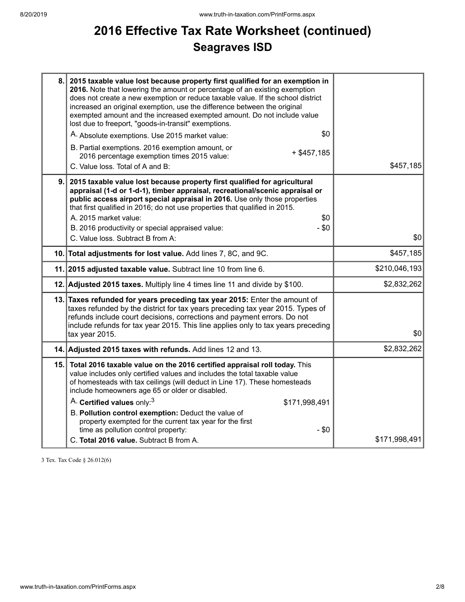# **2016 Effective Tax Rate Worksheet (continued) Seagraves ISD**

|    | 8. 2015 taxable value lost because property first qualified for an exemption in<br>2016. Note that lowering the amount or percentage of an existing exemption<br>does not create a new exemption or reduce taxable value. If the school district<br>increased an original exemption, use the difference between the original<br>exempted amount and the increased exempted amount. Do not include value<br>lost due to freeport, "goods-in-transit" exemptions.<br>\$0<br>A. Absolute exemptions. Use 2015 market value:<br>B. Partial exemptions. 2016 exemption amount, or<br>$+$ \$457,185<br>2016 percentage exemption times 2015 value:<br>C. Value loss. Total of A and B: | \$457,185     |
|----|----------------------------------------------------------------------------------------------------------------------------------------------------------------------------------------------------------------------------------------------------------------------------------------------------------------------------------------------------------------------------------------------------------------------------------------------------------------------------------------------------------------------------------------------------------------------------------------------------------------------------------------------------------------------------------|---------------|
| 9. | 2015 taxable value lost because property first qualified for agricultural<br>appraisal (1-d or 1-d-1), timber appraisal, recreational/scenic appraisal or<br>public access airport special appraisal in 2016. Use only those properties<br>that first qualified in 2016; do not use properties that qualified in 2015.<br>A. 2015 market value:<br>\$0<br>- \$0<br>B. 2016 productivity or special appraised value:<br>C. Value loss. Subtract B from A:                                                                                                                                                                                                                         | \$0           |
|    | 10. Total adjustments for lost value. Add lines 7, 8C, and 9C.                                                                                                                                                                                                                                                                                                                                                                                                                                                                                                                                                                                                                   | \$457,185     |
|    | 11. 2015 adjusted taxable value. Subtract line 10 from line 6.                                                                                                                                                                                                                                                                                                                                                                                                                                                                                                                                                                                                                   | \$210,046,193 |
|    | 12. Adjusted 2015 taxes. Multiply line 4 times line 11 and divide by \$100.                                                                                                                                                                                                                                                                                                                                                                                                                                                                                                                                                                                                      | \$2,832,262   |
|    | 13. Taxes refunded for years preceding tax year 2015: Enter the amount of<br>taxes refunded by the district for tax years preceding tax year 2015. Types of<br>refunds include court decisions, corrections and payment errors. Do not<br>include refunds for tax year 2015. This line applies only to tax years preceding<br>tax year 2015.                                                                                                                                                                                                                                                                                                                                     | 30            |
|    | 14. Adjusted 2015 taxes with refunds. Add lines 12 and 13.                                                                                                                                                                                                                                                                                                                                                                                                                                                                                                                                                                                                                       | \$2,832,262   |
|    | 15. Total 2016 taxable value on the 2016 certified appraisal roll today. This<br>value includes only certified values and includes the total taxable value<br>of homesteads with tax ceilings (will deduct in Line 17). These homesteads<br>include homeowners age 65 or older or disabled.<br>A. Certified values only: <sup>3</sup><br>\$171,998,491<br>B. Pollution control exemption: Deduct the value of<br>property exempted for the current tax year for the first<br>time as pollution control property:<br>$-$ \$0                                                                                                                                                      |               |
|    | C. Total 2016 value. Subtract B from A.                                                                                                                                                                                                                                                                                                                                                                                                                                                                                                                                                                                                                                          | \$171,998,491 |

3 Tex. Tax Code § 26.012(6)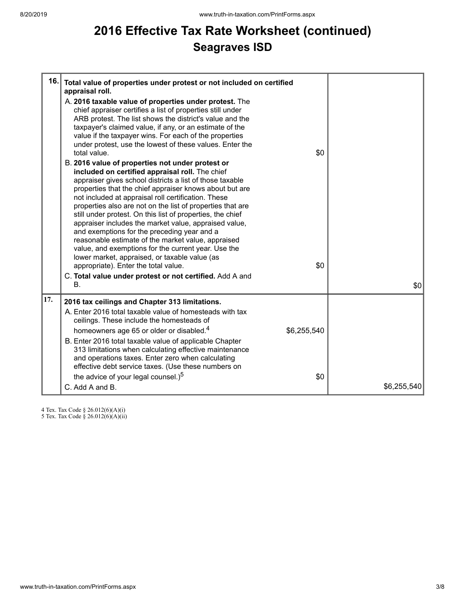# **2016 Effective Tax Rate Worksheet (continued) Seagraves ISD**

| 16. | Total value of properties under protest or not included on certified<br>appraisal roll.<br>A. 2016 taxable value of properties under protest. The<br>chief appraiser certifies a list of properties still under<br>ARB protest. The list shows the district's value and the<br>taxpayer's claimed value, if any, or an estimate of the<br>value if the taxpayer wins. For each of the properties<br>under protest, use the lowest of these values. Enter the<br>total value.<br>B. 2016 value of properties not under protest or<br>included on certified appraisal roll. The chief<br>appraiser gives school districts a list of those taxable<br>properties that the chief appraiser knows about but are<br>not included at appraisal roll certification. These<br>properties also are not on the list of properties that are<br>still under protest. On this list of properties, the chief<br>appraiser includes the market value, appraised value,<br>and exemptions for the preceding year and a<br>reasonable estimate of the market value, appraised<br>value, and exemptions for the current year. Use the<br>lower market, appraised, or taxable value (as<br>appropriate). Enter the total value.<br>C. Total value under protest or not certified. Add A and<br>В. | \$0<br>\$0         | \$0         |
|-----|-------------------------------------------------------------------------------------------------------------------------------------------------------------------------------------------------------------------------------------------------------------------------------------------------------------------------------------------------------------------------------------------------------------------------------------------------------------------------------------------------------------------------------------------------------------------------------------------------------------------------------------------------------------------------------------------------------------------------------------------------------------------------------------------------------------------------------------------------------------------------------------------------------------------------------------------------------------------------------------------------------------------------------------------------------------------------------------------------------------------------------------------------------------------------------------------------------------------------------------------------------------------------------|--------------------|-------------|
| 17. | 2016 tax ceilings and Chapter 313 limitations.<br>A. Enter 2016 total taxable value of homesteads with tax<br>ceilings. These include the homesteads of<br>homeowners age 65 or older or disabled. <sup>4</sup><br>B. Enter 2016 total taxable value of applicable Chapter<br>313 limitations when calculating effective maintenance<br>and operations taxes. Enter zero when calculating<br>effective debt service taxes. (Use these numbers on<br>the advice of your legal counsel.) <sup>5</sup><br>C. Add A and B.                                                                                                                                                                                                                                                                                                                                                                                                                                                                                                                                                                                                                                                                                                                                                        | \$6,255,540<br>\$0 | \$6,255,540 |

4 Tex. Tax Code § 26.012(6)(A)(i)

5 Tex. Tax Code § 26.012(6)(A)(ii)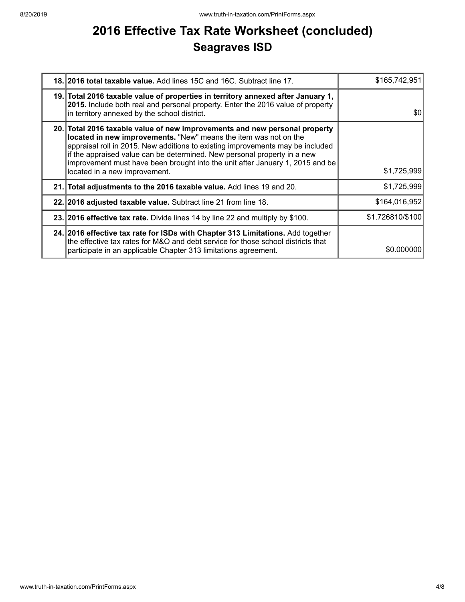# **2016 Effective Tax Rate Worksheet (concluded) Seagraves ISD**

| 18. 2016 total taxable value. Add lines 15C and 16C. Subtract line 17.                                                                                                                                                                                                                                                                                                                                                         | \$165,742,951    |
|--------------------------------------------------------------------------------------------------------------------------------------------------------------------------------------------------------------------------------------------------------------------------------------------------------------------------------------------------------------------------------------------------------------------------------|------------------|
| 19. Total 2016 taxable value of properties in territory annexed after January 1,<br>2015. Include both real and personal property. Enter the 2016 value of property<br>in territory annexed by the school district.                                                                                                                                                                                                            | \$0              |
| 20. Total 2016 taxable value of new improvements and new personal property<br>located in new improvements. "New" means the item was not on the<br>appraisal roll in 2015. New additions to existing improvements may be included<br>if the appraised value can be determined. New personal property in a new<br>improvement must have been brought into the unit after January 1, 2015 and be<br>located in a new improvement. | \$1,725,999      |
| 21. Total adjustments to the 2016 taxable value. Add lines 19 and 20.                                                                                                                                                                                                                                                                                                                                                          | \$1,725,999      |
| 22. 2016 adjusted taxable value. Subtract line 21 from line 18.                                                                                                                                                                                                                                                                                                                                                                | \$164,016,952    |
| 23. 2016 effective tax rate. Divide lines 14 by line 22 and multiply by \$100.                                                                                                                                                                                                                                                                                                                                                 | \$1.726810/\$100 |
| 24. 2016 effective tax rate for ISDs with Chapter 313 Limitations. Add together<br>the effective tax rates for M&O and debt service for those school districts that<br>participate in an applicable Chapter 313 limitations agreement.                                                                                                                                                                                         | \$0.000000       |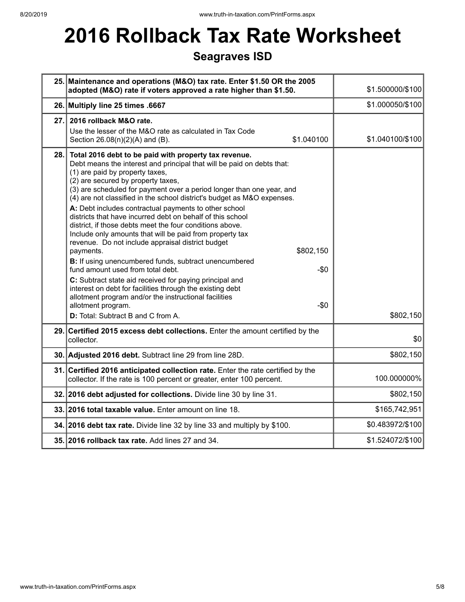# **2016 Rollback Tax Rate Worksheet**

## **Seagraves ISD**

|     | 25. Maintenance and operations (M&O) tax rate. Enter \$1.50 OR the 2005<br>adopted (M&O) rate if voters approved a rate higher than \$1.50.                                                                                                                                                                                                                                                                                                                                                                                                                                                                                                                                                                                                                                                                                                                                                                                                                                                                                                               | \$1.500000/\$100 |
|-----|-----------------------------------------------------------------------------------------------------------------------------------------------------------------------------------------------------------------------------------------------------------------------------------------------------------------------------------------------------------------------------------------------------------------------------------------------------------------------------------------------------------------------------------------------------------------------------------------------------------------------------------------------------------------------------------------------------------------------------------------------------------------------------------------------------------------------------------------------------------------------------------------------------------------------------------------------------------------------------------------------------------------------------------------------------------|------------------|
|     | 26. Multiply line 25 times .6667                                                                                                                                                                                                                                                                                                                                                                                                                                                                                                                                                                                                                                                                                                                                                                                                                                                                                                                                                                                                                          | \$1.000050/\$100 |
| 27. | 2016 rollback M&O rate.<br>Use the lesser of the M&O rate as calculated in Tax Code<br>\$1.040100<br>Section 26.08(n)(2)(A) and (B).                                                                                                                                                                                                                                                                                                                                                                                                                                                                                                                                                                                                                                                                                                                                                                                                                                                                                                                      | \$1.040100/\$100 |
| 28. | Total 2016 debt to be paid with property tax revenue.<br>Debt means the interest and principal that will be paid on debts that:<br>(1) are paid by property taxes,<br>(2) are secured by property taxes,<br>(3) are scheduled for payment over a period longer than one year, and<br>(4) are not classified in the school district's budget as M&O expenses.<br>A: Debt includes contractual payments to other school<br>districts that have incurred debt on behalf of this school<br>district, if those debts meet the four conditions above.<br>Include only amounts that will be paid from property tax<br>revenue. Do not include appraisal district budget<br>\$802,150<br>payments.<br>B: If using unencumbered funds, subtract unencumbered<br>fund amount used from total debt.<br>$-\$0$<br>C: Subtract state aid received for paying principal and<br>interest on debt for facilities through the existing debt<br>allotment program and/or the instructional facilities<br>allotment program.<br>$-\$0$<br>D: Total: Subtract B and C from A. | \$802,150        |
|     | 29. Certified 2015 excess debt collections. Enter the amount certified by the<br>collector.                                                                                                                                                                                                                                                                                                                                                                                                                                                                                                                                                                                                                                                                                                                                                                                                                                                                                                                                                               | \$0              |
|     | 30. Adjusted 2016 debt. Subtract line 29 from line 28D.                                                                                                                                                                                                                                                                                                                                                                                                                                                                                                                                                                                                                                                                                                                                                                                                                                                                                                                                                                                                   | \$802,150        |
|     | 31. Certified 2016 anticipated collection rate. Enter the rate certified by the<br>collector. If the rate is 100 percent or greater, enter 100 percent.                                                                                                                                                                                                                                                                                                                                                                                                                                                                                                                                                                                                                                                                                                                                                                                                                                                                                                   | 100.000000%      |
|     | 32. 2016 debt adjusted for collections. Divide line 30 by line 31.                                                                                                                                                                                                                                                                                                                                                                                                                                                                                                                                                                                                                                                                                                                                                                                                                                                                                                                                                                                        | \$802,150        |
|     | 33. 2016 total taxable value. Enter amount on line 18.                                                                                                                                                                                                                                                                                                                                                                                                                                                                                                                                                                                                                                                                                                                                                                                                                                                                                                                                                                                                    | \$165,742,951    |
|     | 34. 2016 debt tax rate. Divide line 32 by line 33 and multiply by \$100.                                                                                                                                                                                                                                                                                                                                                                                                                                                                                                                                                                                                                                                                                                                                                                                                                                                                                                                                                                                  | \$0.483972/\$100 |
|     | 35. 2016 rollback tax rate. Add lines 27 and 34.                                                                                                                                                                                                                                                                                                                                                                                                                                                                                                                                                                                                                                                                                                                                                                                                                                                                                                                                                                                                          | \$1.524072/\$100 |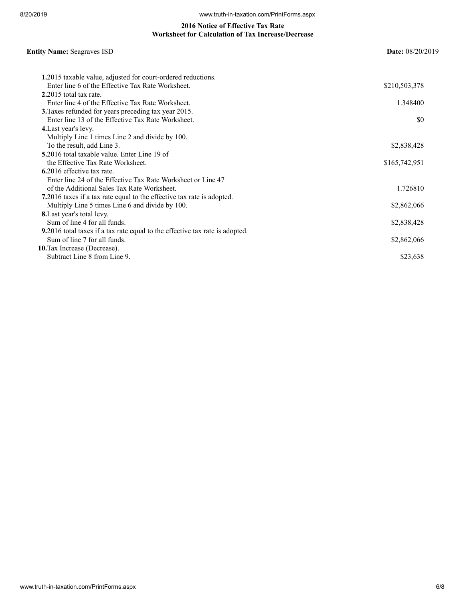#### **2016 Notice of Effective Tax Rate Worksheet for Calculation of Tax Increase/Decrease**

## **Entity Name:** Seagraves ISD **Date:** 08/20/2019

| 1.2015 taxable value, adjusted for court-ordered reductions.                         |               |
|--------------------------------------------------------------------------------------|---------------|
| Enter line 6 of the Effective Tax Rate Worksheet.                                    | \$210,503,378 |
| $2.2015$ total tax rate.                                                             |               |
| Enter line 4 of the Effective Tax Rate Worksheet.                                    | 1.348400      |
| 3. Taxes refunded for years preceding tax year 2015.                                 |               |
| Enter line 13 of the Effective Tax Rate Worksheet.                                   | SO.           |
| 4. Last year's levy.                                                                 |               |
| Multiply Line 1 times Line 2 and divide by 100.                                      |               |
| To the result, add Line 3.                                                           | \$2,838,428   |
| 5.2016 total taxable value. Enter Line 19 of                                         |               |
| the Effective Tax Rate Worksheet.                                                    | \$165,742,951 |
| 6.2016 effective tax rate.                                                           |               |
| Enter line 24 of the Effective Tax Rate Worksheet or Line 47                         |               |
| of the Additional Sales Tax Rate Worksheet.                                          | 1.726810      |
| 7.2016 taxes if a tax rate equal to the effective tax rate is adopted.               |               |
| Multiply Line 5 times Line 6 and divide by 100.                                      | \$2,862,066   |
| <b>8.</b> Last year's total levy.                                                    |               |
| Sum of line 4 for all funds.                                                         | \$2,838,428   |
| <b>9.</b> 2016 total taxes if a tax rate equal to the effective tax rate is adopted. |               |
| Sum of line 7 for all funds.                                                         | \$2,862,066   |
| 10. Tax Increase (Decrease).                                                         |               |
| Subtract Line 8 from Line 9.                                                         | \$23,638      |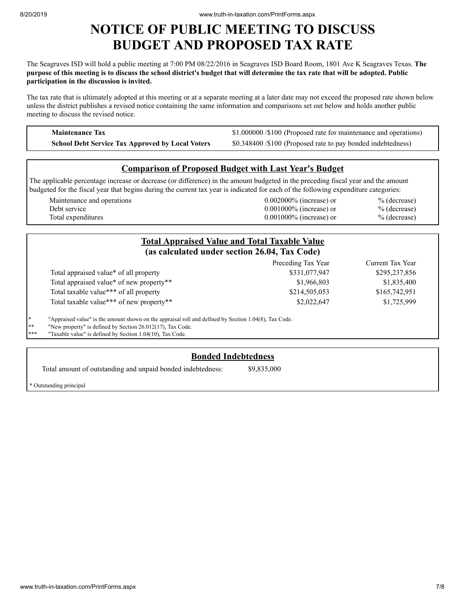## **NOTICE OF PUBLIC MEETING TO DISCUSS BUDGET AND PROPOSED TAX RATE**

The Seagraves ISD will hold a public meeting at 7:00 PM 08/22/2016 in Seagraves ISD Board Room, 1801 Ave K Seagraves Texas. **The** purpose of this meeting is to discuss the school district's budget that will determine the tax rate that will be adopted. Public **participation in the discussion is invited.**

The tax rate that is ultimately adopted at this meeting or at a separate meeting at a later date may not exceed the proposed rate shown below unless the district publishes a revised notice containing the same information and comparisons set out below and holds another public meeting to discuss the revised notice.

**Maintenance Tax \$1.000000 /\$100 (Proposed rate for maintenance and operations) School Debt Service Tax Approved by Local Voters** \$0.348400 /\$100 (Proposed rate to pay bonded indebtedness)

### **Comparison of Proposed Budget with Last Year's Budget**

The applicable percentage increase or decrease (or difference) in the amount budgeted in the preceding fiscal year and the amount budgeted for the fiscal year that begins during the current tax year is indicated for each of the following expenditure categories:

| Maintenance and operations | $0.002000\%$ (increase) or | $%$ (decrease) |
|----------------------------|----------------------------|----------------|
| Debt service               | $0.001000\%$ (increase) or | $%$ (decrease) |
| Total expenditures         | $0.001000\%$ (increase) or | $%$ (decrease) |

|     |                                                                                                       | <b>Total Appraised Value and Total Taxable Value</b><br>(as calculated under section 26.04, Tax Code) |                  |
|-----|-------------------------------------------------------------------------------------------------------|-------------------------------------------------------------------------------------------------------|------------------|
|     |                                                                                                       | Preceding Tax Year                                                                                    | Current Tax Year |
|     | Total appraised value* of all property                                                                | \$331,077,947                                                                                         | \$295,237,856    |
|     | Total appraised value* of new property**                                                              | \$1,966,803                                                                                           | \$1,835,400      |
|     | Total taxable value*** of all property                                                                | \$214,505,053                                                                                         | \$165,742,951    |
|     | Total taxable value*** of new property**                                                              | \$2,022,647                                                                                           | \$1,725,999      |
| ∗   | "Appraised value" is the amount shown on the appraisal roll and defined by Section 1.04(8), Tax Code. |                                                                                                       |                  |
| ∗*  | "New property" is defined by Section 26.012(17), Tax Code.                                            |                                                                                                       |                  |
| *** | "Taxable value" is defined by Section 1.04(10), Tax Code.                                             |                                                                                                       |                  |

### **Bonded Indebtedness**

Total amount of outstanding and unpaid bonded indebtedness: \$9,835,000

\* Outstanding principal